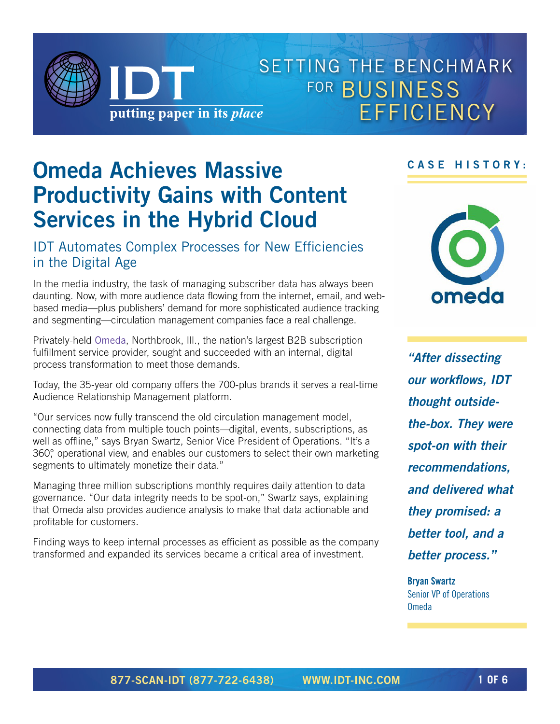

# SETTING THE BENCHMARK FOR **BUSINESS** EFFICIENCY

# **Omeda Achieves Massive Productivity Gains with Content Services in the Hybrid Cloud**

### IDT Automates Complex Processes for New Efficiencies in the Digital Age

In the media industry, the task of managing subscriber data has always been daunting. Now, with more audience data flowing from the internet, email, and webbased media—plus publishers' demand for more sophisticated audience tracking and segmenting—circulation management companies face a real challenge.

Privately-held [Omeda](http://omeda.com), Northbrook, Ill., the nation's largest B2B subscription fulfillment service provider, sought and succeeded with an internal, digital process transformation to meet those demands.

Today, the 35-year old company offers the 700-plus brands it serves a real-time Audience Relationship Management platform.

"Our services now fully transcend the old circulation management model, connecting data from multiple touch points—digital, events, subscriptions, as well as offline," says Bryan Swartz, Senior Vice President of Operations. "It's a 360°, operational view, and enables our customers to select their own marketing segments to ultimately monetize their data."

Managing three million subscriptions monthly requires daily attention to data governance. "Our data integrity needs to be spot-on," Swartz says, explaining that Omeda also provides audience analysis to make that data actionable and profitable for customers.

Finding ways to keep internal processes as efficient as possible as the company transformed and expanded its services became a critical area of investment.

### **CASE HISTORY:**



*"After dissecting our workflows, IDT thought outsidethe-box. They were spot-on with their recommendations, and delivered what they promised: a better tool, and a better process."*

**Bryan Swartz** Senior VP of Operations Omeda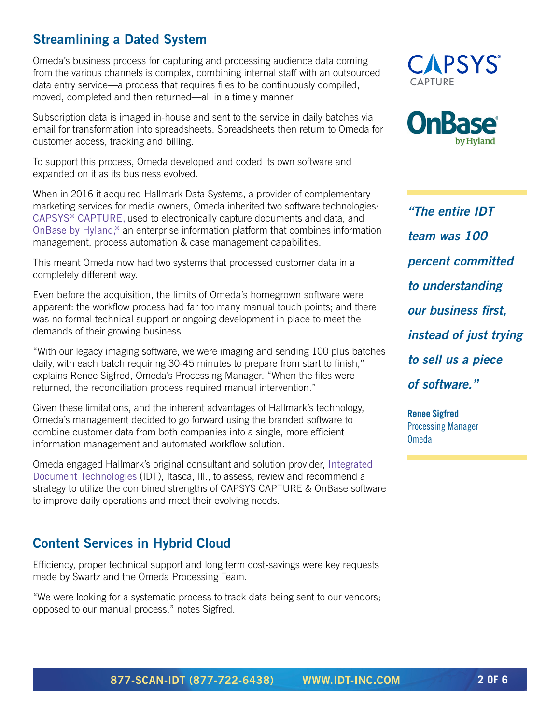## **Streamlining a Dated System**

Omeda's business process for capturing and processing audience data coming from the various channels is complex, combining internal staff with an outsourced data entry service—a process that requires files to be continuously compiled, moved, completed and then returned—all in a timely manner.

Subscription data is imaged in-house and sent to the service in daily batches via email for transformation into spreadsheets. Spreadsheets then return to Omeda for customer access, tracking and billing.

To support this process, Omeda developed and coded its own software and expanded on it as its business evolved.

When in 2016 it acquired Hallmark Data Systems, a provider of complementary marketing services for media owners, Omeda inherited two software technologies: [CAPSYS® CAPTURE](http://www.capsystech.com/static.asp?path=4760), used to electronically capture documents and data, and [OnBase by Hyland,®](https://www.onbase.com) an enterprise information platform that combines information management, process automation & case management capabilities.

This meant Omeda now had two systems that processed customer data in a completely different way.

Even before the acquisition, the limits of Omeda's homegrown software were apparent: the workflow process had far too many manual touch points; and there was no formal technical support or ongoing development in place to meet the demands of their growing business.

"With our legacy imaging software, we were imaging and sending 100 plus batches daily, with each batch requiring 30-45 minutes to prepare from start to finish," explains Renee Sigfred, Omeda's Processing Manager. "When the files were returned, the reconciliation process required manual intervention."

Given these limitations, and the inherent advantages of Hallmark's technology, Omeda's management decided to go forward using the branded software to combine customer data from both companies into a single, more efficient information management and automated workflow solution.

Omeda engaged Hallmark's original consultant and solution provider, [Integrated](https://www.idt-inc.com)  [Document Technologies](https://www.idt-inc.com) (IDT), Itasca, Ill., to assess, review and recommend a strategy to utilize the combined strengths of CAPSYS CAPTURE & OnBase software to improve daily operations and meet their evolving needs.

## **Content Services in Hybrid Cloud**

Efficiency, proper technical support and long term cost-savings were key requests made by Swartz and the Omeda Processing Team.

"We were looking for a systematic process to track data being sent to our vendors; opposed to our manual process," notes Sigfred.





*"The entire IDT team was 100 percent committed to understanding our business first, instead of just trying to sell us a piece of software."* 

**Renee Sigfred** Processing Manager Omeda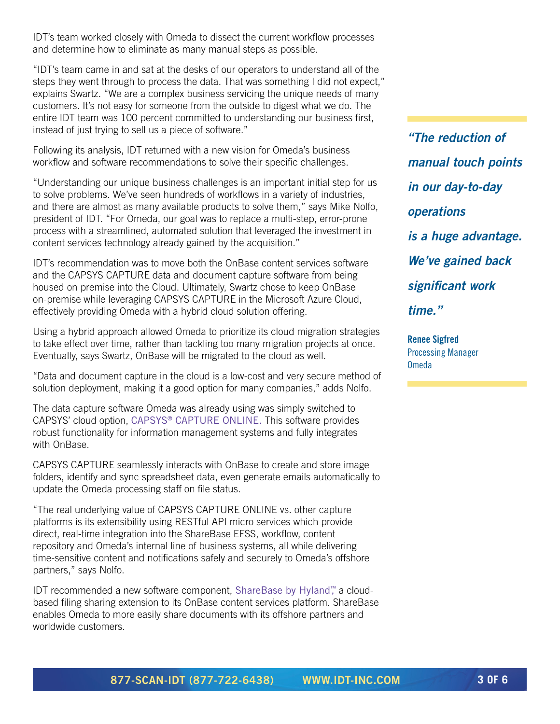IDT's team worked closely with Omeda to dissect the current workflow processes and determine how to eliminate as many manual steps as possible.

"IDT's team came in and sat at the desks of our operators to understand all of the steps they went through to process the data. That was something I did not expect," explains Swartz. "We are a complex business servicing the unique needs of many customers. It's not easy for someone from the outside to digest what we do. The entire IDT team was 100 percent committed to understanding our business first, instead of just trying to sell us a piece of software."

Following its analysis, IDT returned with a new vision for Omeda's business workflow and software recommendations to solve their specific challenges.

"Understanding our unique business challenges is an important initial step for us to solve problems. We've seen hundreds of workflows in a variety of industries, and there are almost as many available products to solve them," says Mike Nolfo, president of IDT. "For Omeda, our goal was to replace a multi-step, error-prone process with a streamlined, automated solution that leveraged the investment in content services technology already gained by the acquisition."

IDT's recommendation was to move both the OnBase content services software and the CAPSYS CAPTURE data and document capture software from being housed on premise into the Cloud. Ultimately, Swartz chose to keep OnBase on-premise while leveraging CAPSYS CAPTURE in the Microsoft Azure Cloud, effectively providing Omeda with a hybrid cloud solution offering.

Using a hybrid approach allowed Omeda to prioritize its cloud migration strategies to take effect over time, rather than tackling too many migration projects at once. Eventually, says Swartz, OnBase will be migrated to the cloud as well.

"Data and document capture in the cloud is a low-cost and very secure method of solution deployment, making it a good option for many companies," adds Nolfo.

The data capture software Omeda was already using was simply switched to CAPSYS' cloud option, [CAPSYS® CAPTURE](http://www.capsystech.com/static.asp?path=4760) ONLINE. This software provides robust functionality for information management systems and fully integrates with OnBase.

CAPSYS CAPTURE seamlessly interacts with OnBase to create and store image folders, identify and sync spreadsheet data, even generate emails automatically to update the Omeda processing staff on file status.

"The real underlying value of CAPSYS CAPTURE ONLINE vs. other capture platforms is its extensibility using RESTful API micro services which provide direct, real-time integration into the ShareBase EFSS, workflow, content repository and Omeda's internal line of business systems, all while delivering time-sensitive content and notifications safely and securely to Omeda's offshore partners," says Nolfo.

IDT recommended a new software component, [ShareBase by Hylan](https://sharebase.onbase.com)d™, a cloudbased filing sharing extension to its OnBase content services platform. ShareBase enables Omeda to more easily share documents with its offshore partners and worldwide customers.

*"The reduction of manual touch points in our day-to-day operations is a huge advantage. We've gained back significant work time."*

**Renee Sigfred** Processing Manager Omeda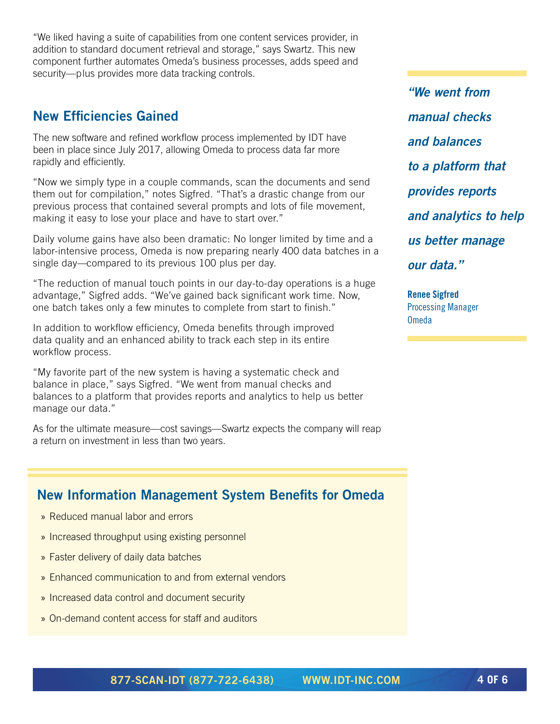"We liked having a suite of capabilities from one content services provider, in addition to standard document retrieval and storage," says Swartz. This new component further automates Omeda's business processes, adds speed and security—plus provides more data tracking controls.

### **New Efficiencies Gained**

The new software and refined workflow process implemented by IDT have been in place since July 2017, allowing Omeda to process data far more rapidly and efficiently.

"Now we simply type in a couple commands, scan the documents and send them out for compilation," notes Sigfred. "That's a drastic change from our previous process that contained several prompts and lots of file movement, making it easy to lose your place and have to start over."

Daily volume gains have also been dramatic: No longer limited by time and a labor-intensive process, Omeda is now preparing nearly 400 data batches in a single day—compared to its previous 100 plus per day.

"The reduction of manual touch points in our day-to-day operations is a huge advantage," Sigfred adds. "We've gained back significant work time. Now, one batch takes only a few minutes to complete from start to finish."

In addition to workflow efficiency, Omeda benefits through improved data quality and an enhanced ability to track each step in its entire workflow process.

"My favorite part of the new system is having a systematic check and balance in place," says Sigfred. "We went from manual checks and balances to a platform that provides reports and analytics to help us better manage our data."

As for the ultimate measure—cost savings—Swartz expects the company will reap a return on investment in less than two years.

### **New Information Management System Benefits for Omeda**

- » Reduced manual labor and errors
- » Increased throughput using existing personnel
- » Faster delivery of daily data batches
- » Enhanced communication to and from external vendors
- » Increased data control and document security
- » On-demand content access for staff and auditors

*"We went from manual checks and balances to a platform that provides reports and analytics to help us better manage our data."*

**Renee Sigfred** Processing Manager Omeda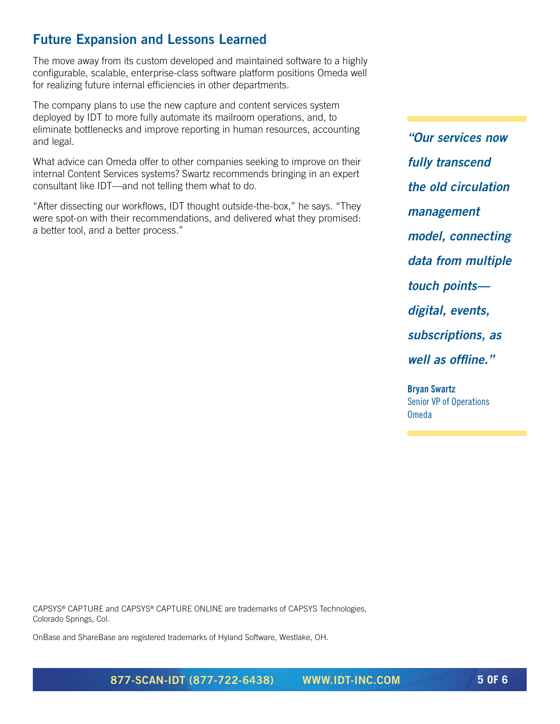## **Future Expansion and Lessons Learned**

The move away from its custom developed and maintained software to a highly configurable, scalable, enterprise-class software platform positions Omeda well for realizing future internal efficiencies in other departments.

The company plans to use the new capture and content services system deployed by IDT to more fully automate its mailroom operations, and, to eliminate bottlenecks and improve reporting in human resources, accounting and legal.

What advice can Omeda offer to other companies seeking to improve on their internal Content Services systems? Swartz recommends bringing in an expert consultant like IDT—and not telling them what to do.

"After dissecting our workflows, IDT thought outside-the-box," he says. "They were spot-on with their recommendations, and delivered what they promised: a better tool, and a better process."

*"Our services now fully transcend the old circulation management model, connecting data from multiple touch points digital, events, subscriptions, as well as offline."*

**Bryan Swartz** Senior VP of Operations Omeda

CAPSYS® CAPTURE and CAPSYS® CAPTURE ONLINE are trademarks of CAPSYS Technologies, Colorado Springs, Col.

OnBase and ShareBase are registered trademarks of Hyland Software, Westlake, OH.

**877-SCAN-IDT (877-722-6438) [WWW.IDT-INC.COM](http://www.IDT-INC.com) 5 OF 6**